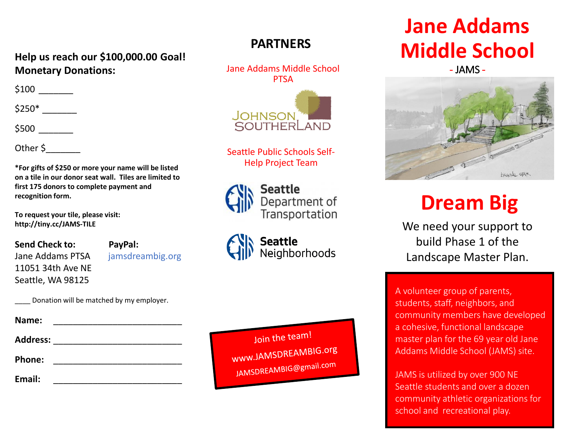#### **Help us reach our \$100,000.00 Goal! Monetary Donations:**

\$100

\$250\* \_\_\_\_\_\_\_

\$500 \_\_\_\_\_\_\_

Other \$

**\*For gifts of \$250 or more your name will be listed on a tile in our donor seat wall. Tiles are limited to first 175 donors to complete payment and recognition form.** 

**To request your tile, please visit: http://tiny.cc/JAMS-TILE**

**Send Check to: PayPal:** Jane Addams PTSA jamsdreambig.org 11051 34th Ave NE Seattle, WA 98125

Donation will be matched by my employer.

| Name:           |  |
|-----------------|--|
| <b>Address:</b> |  |
| Phone:          |  |
| Email:          |  |

#### **PARTNERS**

Jane Addams Middle School **PTSA** 



Seattle Public Schools Self-Help Project Team



**Seattle** Department of Transportation

**Seattle** Neighborhoods

Join the team! www.JAMSDREAMBIG.org JAMSDREAMBIG@gmail.com

## **Jane Addams Middle School**

- JAMS -



# **Dream Big**

We need your support to build Phase 1 of the Landscape Master Plan.

A volunteer group of parents, students, staff, neighbors, and community members have developed a cohesive, functional landscape master plan for the 69 year old Jane Addams Middle School (JAMS) site.

JAMS is utilized by over 900 NE Seattle students and over a dozen community athletic organizations for school and recreational play.